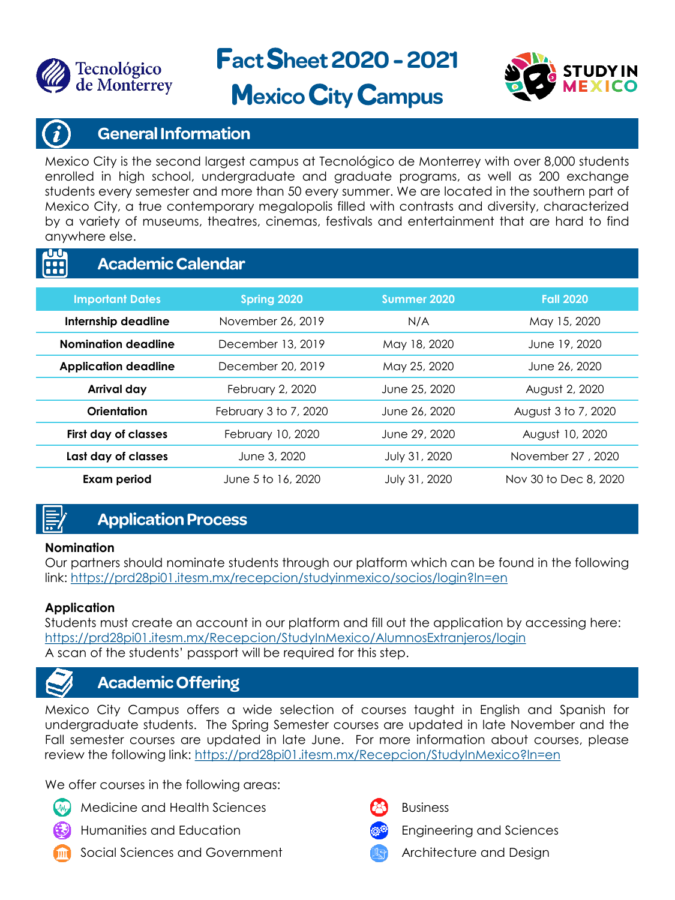

**act heet2020 -2021**



# **Mexico City Campus**

#### **General Information**

Mexico City is the second largest campus at Tecnológico de Monterrey with over 8,000 students enrolled in high school, undergraduate and graduate programs, as well as 200 exchange students every semester and more than 50 every summer. We are located in the southern part of Mexico City, a true contemporary megalopolis filled with contrasts and diversity, characterized by a variety of museums, theatres, cinemas, festivals and entertainment that are hard to find anywhere else.

#### $\mathbf{U} \mathbf{U}$ **Academic Calendar A**

| <b>Important Dates</b>      | Spring 2020           | Summer 2020   | <b>Fall 2020</b>      |
|-----------------------------|-----------------------|---------------|-----------------------|
| Internship deadline         | November 26, 2019     | N/A           | May 15, 2020          |
| Nomination deadline         | December 13, 2019     | May 18, 2020  | June 19, 2020         |
| <b>Application deadline</b> | December 20, 2019     | May 25, 2020  | June 26, 2020         |
| Arrival day                 | February 2, 2020      | June 25, 2020 | August 2, 2020        |
| Orientation                 | February 3 to 7, 2020 | June 26, 2020 | August 3 to 7, 2020   |
| First day of classes        | February 10, 2020     | June 29, 2020 | August 10, 2020       |
| Last day of classes         | June 3, 2020          | July 31, 2020 | November 27, 2020     |
| <b>Exam period</b>          | June 5 to 16, 2020    | July 31, 2020 | Nov 30 to Dec 8, 2020 |

## **Application Process**

#### **Nomination**

Our partners should nominate students through our platform which can be found in the following link: <https://prd28pi01.itesm.mx/recepcion/studyinmexico/socios/login?ln=en>

#### **Application**

Students must create an account in our platform and fill out the application by accessing here: <https://prd28pi01.itesm.mx/Recepcion/StudyInMexico/AlumnosExtranjeros/login> A scan of the students' passport will be required for this step.

### **Academic Offering**

Mexico City Campus offers a wide selection of courses taught in English and Spanish for undergraduate students. The Spring Semester courses are updated in late November and the Fall semester courses are updated in late June. For more information about courses, please review the following link: https://prd28pi01.itesm.mx/Recepcion/StudyInMexico?In=en

We offer courses in the following areas:

- Medicine and Health Sciences
- Humanities and Education
- Social Sciences and Government

Business



Engineering and Sciences

Architecture and Design